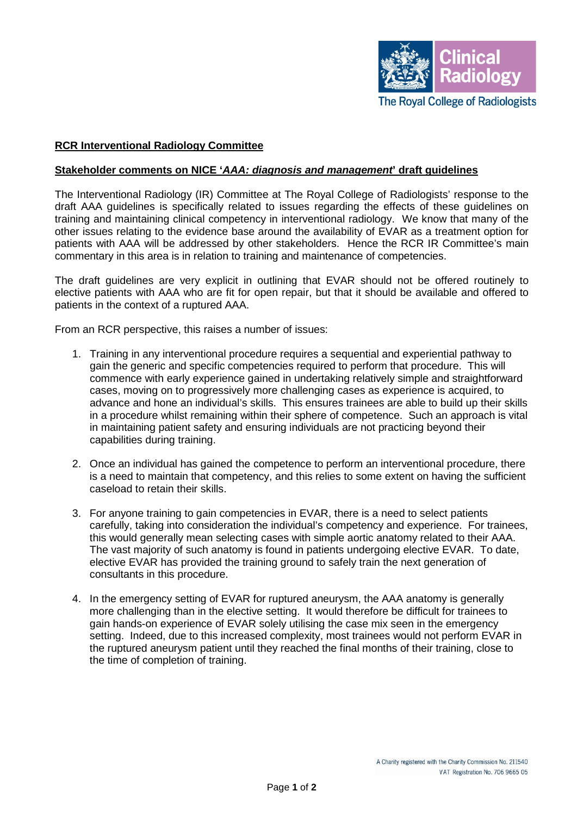

## **RCR Interventional Radiology Committee**

## **Stakeholder comments on NICE '***AAA: diagnosis and management***' draft guidelines**

The Interventional Radiology (IR) Committee at The Royal College of Radiologists' response to the draft AAA guidelines is specifically related to issues regarding the effects of these guidelines on training and maintaining clinical competency in interventional radiology. We know that many of the other issues relating to the evidence base around the availability of EVAR as a treatment option for patients with AAA will be addressed by other stakeholders. Hence the RCR IR Committee's main commentary in this area is in relation to training and maintenance of competencies.

The draft guidelines are very explicit in outlining that EVAR should not be offered routinely to elective patients with AAA who are fit for open repair, but that it should be available and offered to patients in the context of a ruptured AAA.

From an RCR perspective, this raises a number of issues:

- 1. Training in any interventional procedure requires a sequential and experiential pathway to gain the generic and specific competencies required to perform that procedure. This will commence with early experience gained in undertaking relatively simple and straightforward cases, moving on to progressively more challenging cases as experience is acquired, to advance and hone an individual's skills. This ensures trainees are able to build up their skills in a procedure whilst remaining within their sphere of competence. Such an approach is vital in maintaining patient safety and ensuring individuals are not practicing beyond their capabilities during training.
- 2. Once an individual has gained the competence to perform an interventional procedure, there is a need to maintain that competency, and this relies to some extent on having the sufficient caseload to retain their skills.
- 3. For anyone training to gain competencies in EVAR, there is a need to select patients carefully, taking into consideration the individual's competency and experience. For trainees, this would generally mean selecting cases with simple aortic anatomy related to their AAA. The vast majority of such anatomy is found in patients undergoing elective EVAR. To date, elective EVAR has provided the training ground to safely train the next generation of consultants in this procedure.
- 4. In the emergency setting of EVAR for ruptured aneurysm, the AAA anatomy is generally more challenging than in the elective setting. It would therefore be difficult for trainees to gain hands-on experience of EVAR solely utilising the case mix seen in the emergency setting. Indeed, due to this increased complexity, most trainees would not perform EVAR in the ruptured aneurysm patient until they reached the final months of their training, close to the time of completion of training.